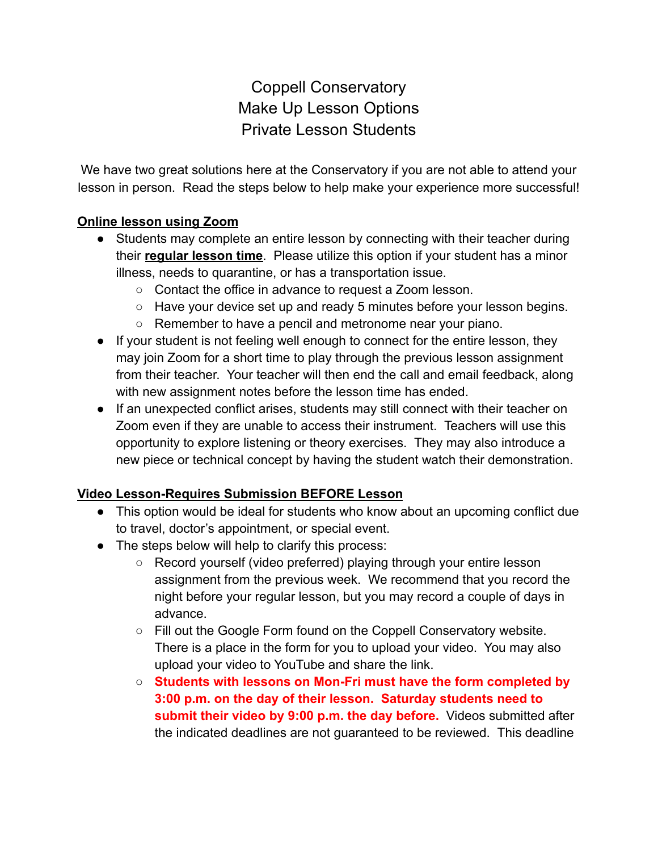## Coppell Conservatory Make Up Lesson Options Private Lesson Students

We have two great solutions here at the Conservatory if you are not able to attend your lesson in person. Read the steps below to help make your experience more successful!

## **Online lesson using Zoom**

- Students may complete an entire lesson by connecting with their teacher during their **regular lesson time**. Please utilize this option if your student has a minor illness, needs to quarantine, or has a transportation issue.
	- Contact the office in advance to request a Zoom lesson.
	- Have your device set up and ready 5 minutes before your lesson begins.
	- Remember to have a pencil and metronome near your piano.
- If your student is not feeling well enough to connect for the entire lesson, they may join Zoom for a short time to play through the previous lesson assignment from their teacher. Your teacher will then end the call and email feedback, along with new assignment notes before the lesson time has ended.
- If an unexpected conflict arises, students may still connect with their teacher on Zoom even if they are unable to access their instrument. Teachers will use this opportunity to explore listening or theory exercises. They may also introduce a new piece or technical concept by having the student watch their demonstration.

## **Video Lesson-Requires Submission BEFORE Lesson**

- This option would be ideal for students who know about an upcoming conflict due to travel, doctor's appointment, or special event.
- The steps below will help to clarify this process:
	- Record yourself (video preferred) playing through your entire lesson assignment from the previous week. We recommend that you record the night before your regular lesson, but you may record a couple of days in advance.
	- Fill out the Google Form found on the Coppell Conservatory website. There is a place in the form for you to upload your video. You may also upload your video to YouTube and share the link.
	- **Students with lessons on Mon-Fri must have the form completed by 3:00 p.m. on the day of their lesson. Saturday students need to submit their video by 9:00 p.m. the day before.** Videos submitted after the indicated deadlines are not guaranteed to be reviewed. This deadline